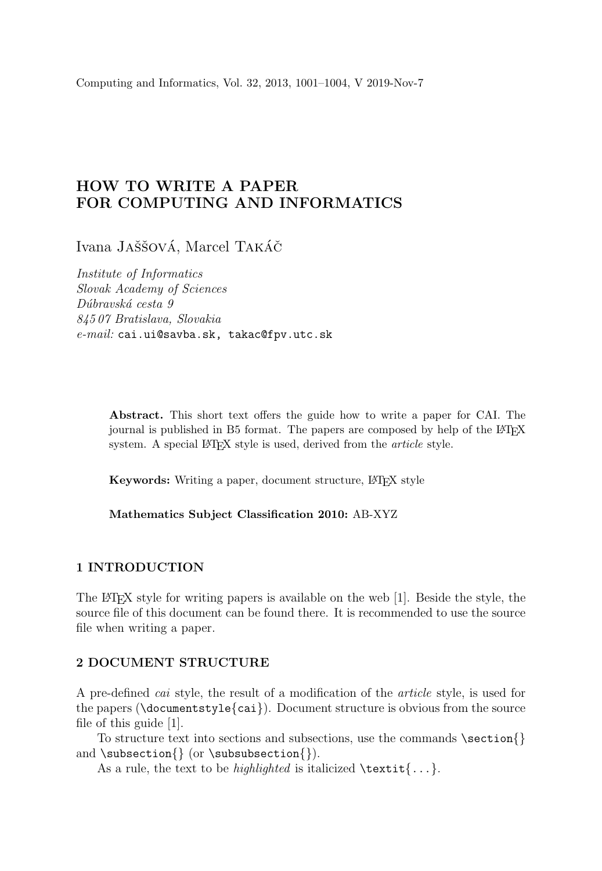Computing and Informatics, Vol. 32, 2013, 1001–1004, V 2019-Nov-7

# HOW TO WRITE A PAPER FOR COMPUTING AND INFORMATICS

Ivana JAŠŠOVÁ, Marcel TAKÁČ

Institute of Informatics Slovak Academy of Sciences Dúbravská cesta 9 845 07 Bratislava, Slovakia e-mail: cai.ui@savba.sk, takac@fpv.utc.sk

> Abstract. This short text offers the guide how to write a paper for CAI. The journal is published in B5 format. The papers are composed by help of the L<sup>AT</sup>EX system. A special LAT<sub>EX</sub> style is used, derived from the *article* style.

Keywords: Writing a paper, document structure, L<sup>AT</sup>EX style

Mathematics Subject Classification 2010: AB-XYZ

#### 1 INTRODUCTION

The LATEX style for writing papers is available on the web [1]. Beside the style, the source file of this document can be found there. It is recommended to use the source file when writing a paper.

#### 2 DOCUMENT STRUCTURE

A pre-defined cai style, the result of a modification of the article style, is used for the papers (\documentstyle{cai}). Document structure is obvious from the source file of this guide [1].

To structure text into sections and subsections, use the commands  $\setminus \{ \}$ and \subsection{} (or \subsubsection{}).

As a rule, the text to be *highlighted* is italicized  $\text{texti}$ ...}.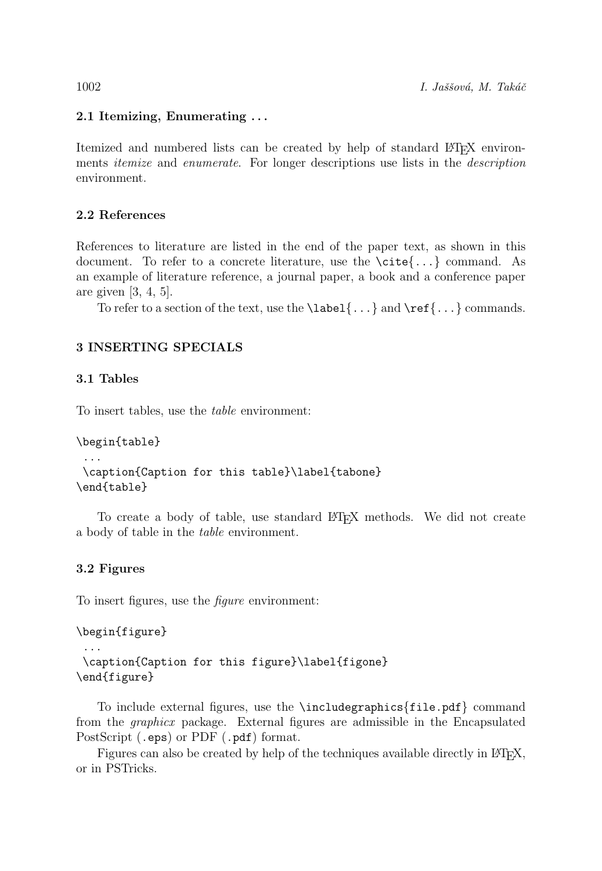# 2.1 Itemizing, Enumerating . . .

Itemized and numbered lists can be created by help of standard LATEX environments *itemize* and *enumerate*. For longer descriptions use lists in the *description* environment.

### 2.2 References

References to literature are listed in the end of the paper text, as shown in this document. To refer to a concrete literature, use the  $\c{cite}$ ...} command. As an example of literature reference, a journal paper, a book and a conference paper are given [3, 4, 5].

To refer to a section of the text, use the  $\label{c}$  \label{...} and  $\ref{...}$  commands.

# 3 INSERTING SPECIALS

#### 3.1 Tables

To insert tables, use the table environment:

```
\begin{table}
 ...
\caption{Caption for this table}\label{tabone}
\end{table}
```
To create a body of table, use standard LATEX methods. We did not create a body of table in the table environment.

## 3.2 Figures

To insert figures, use the figure environment:

```
\begin{figure}
```

```
...
\caption{Caption for this figure}\label{figone}
\end{figure}
```
To include external figures, use the \includegraphics{file.pdf} command from the graphicx package. External figures are admissible in the Encapsulated PostScript (.eps) or PDF (.pdf) format.

Figures can also be created by help of the techniques available directly in LATEX, or in PSTricks.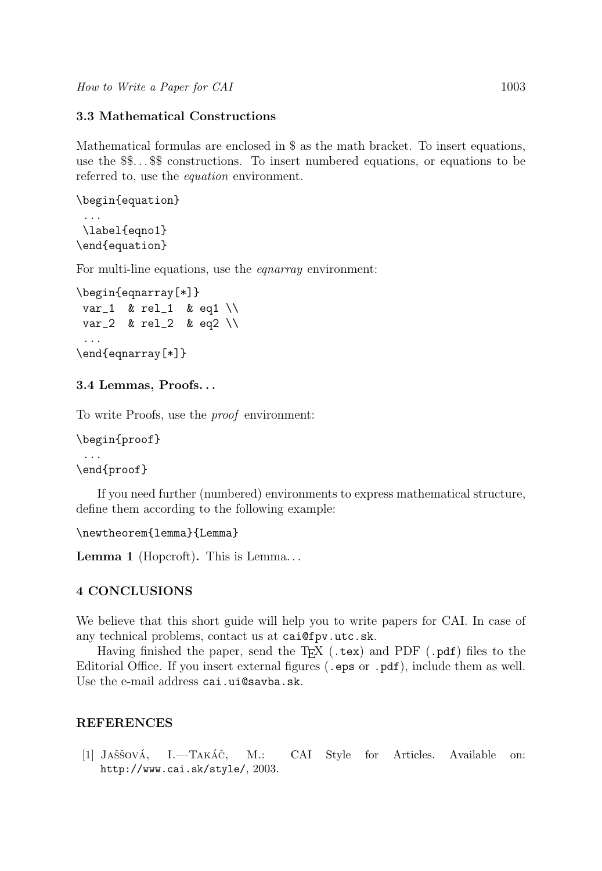# 3.3 Mathematical Constructions

Mathematical formulas are enclosed in \$ as the math bracket. To insert equations, use the \$\$. . . \$\$ constructions. To insert numbered equations, or equations to be referred to, use the equation environment.

```
\begin{equation}
 ...
\label{eqno1}
\end{equation}
```
For multi-line equations, use the *equarray* environment:

```
\begin{eqnarray[*]}
var_1 & rel_1 & eq1 \\
var_2 & rel_2 & eq2 \\
 ...
\end{eqnarray[*]}
```
## 3.4 Lemmas, Proofs. . .

To write Proofs, use the proof environment:

```
\begin{proof}
```

```
...
\end{proof}
```
If you need further (numbered) environments to express mathematical structure, define them according to the following example:

```
\newtheorem{lemma}{Lemma}
```
Lemma 1 (Hopcroft). This is Lemma...

# 4 CONCLUSIONS

We believe that this short guide will help you to write papers for CAI. In case of any technical problems, contact us at cai@fpv.utc.sk.

Having finished the paper, send the  $T_{F}X$  (.tex) and PDF (.pdf) files to the Editorial Office. If you insert external figures (.eps or .pdf), include them as well. Use the e-mail address cai.ui@savba.sk.

## REFERENCES

[1] JAŠŠOVÁ, I.—TAKÁČ, M.: CAI Style for Articles. Available on: http://www.cai.sk/style/, 2003.